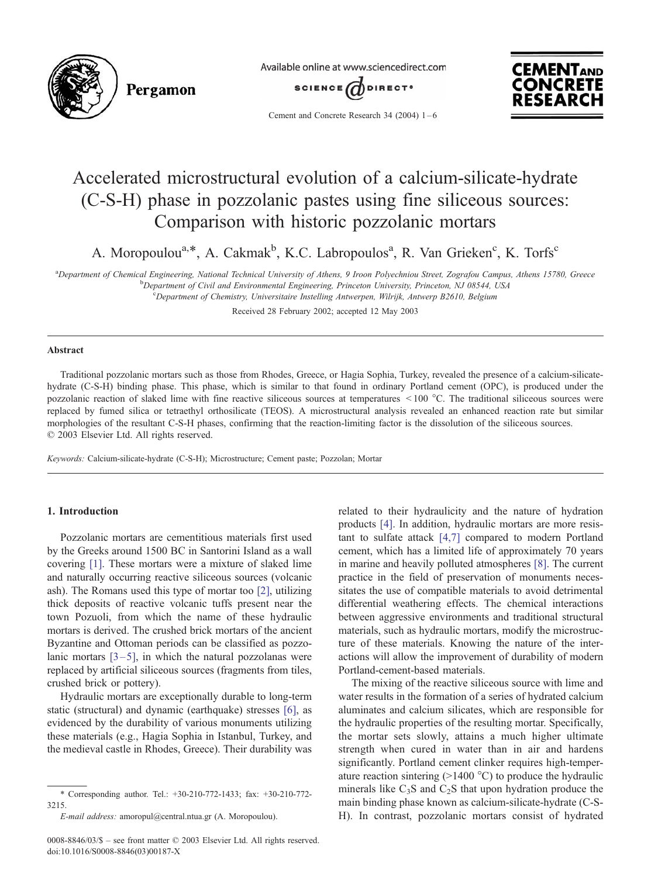

Pergamon

Available online at www.sciencedirect.com





Cement and Concrete Research 34 (2004) 1-6

# Accelerated microstructural evolution of a calcium-silicate-hydrate (C-S-H) phase in pozzolanic pastes using fine siliceous sources: Comparison with historic pozzolanic mortars

A. Moropoulou<sup>a,\*</sup>, A. Cakmak<sup>b</sup>, K.C. Labropoulos<sup>a</sup>, R. Van Grieken<sup>c</sup>, K. Torfs<sup>c</sup>

a<br>
Department of Chemical Engineering, National Technical University of Athens, 9 Iroon Polyechniou Street, Zografou Campus, Athens 15780, Greece<br>
b Danastment of Civil and Environmental Engineering, Princeton University P <sup>b</sup>Department of Civil and Environmental Engineering, Princeton University, Princeton, NJ 08544, USA

<sup>c</sup>Department of Chemistry, Universitaire Instelling Antwerpen, Wilrijk, Antwerp B2610, Belgium

Received 28 February 2002; accepted 12 May 2003

## Abstract

Traditional pozzolanic mortars such as those from Rhodes, Greece, or Hagia Sophia, Turkey, revealed the presence of a calcium-silicatehydrate (C-S-H) binding phase. This phase, which is similar to that found in ordinary Portland cement (OPC), is produced under the pozzolanic reaction of slaked lime with fine reactive siliceous sources at temperatures <100 °C. The traditional siliceous sources were replaced by fumed silica or tetraethyl orthosilicate (TEOS). A microstructural analysis revealed an enhanced reaction rate but similar morphologies of the resultant C-S-H phases, confirming that the reaction-limiting factor is the dissolution of the siliceous sources.  $\odot$  2003 Elsevier Ltd. All rights reserved.

Keywords: Calcium-silicate-hydrate (C-S-H); Microstructure; Cement paste; Pozzolan; Mortar

# 1. Introduction

Pozzolanic mortars are cementitious materials first used by the Greeks around 1500 BC in Santorini Island as a wall covering [\[1\]](#page-5-0). These mortars were a mixture of slaked lime and naturally occurring reactive siliceous sources (volcanic ash). The Romans used this type of mortar too [\[2\],](#page-5-0) utilizing thick deposits of reactive volcanic tuffs present near the town Pozuoli, from which the name of these hydraulic mortars is derived. The crushed brick mortars of the ancient Byzantine and Ottoman periods can be classified as pozzolanic mortars  $[3-5]$ , in which the natural pozzolanas were replaced by artificial siliceous sources (fragments from tiles, crushed brick or pottery).

Hydraulic mortars are exceptionally durable to long-term static (structural) and dynamic (earthquake) stresses [\[6\],](#page-5-0) as evidenced by the durability of various monuments utilizing these materials (e.g., Hagia Sophia in Istanbul, Turkey, and the medieval castle in Rhodes, Greece). Their durability was

related to their hydraulicity and the nature of hydration products [\[4\].](#page-5-0) In addition, hydraulic mortars are more resistant to sulfate attack [\[4,7\]](#page-5-0) compared to modern Portland cement, which has a limited life of approximately 70 years in marine and heavily polluted atmospheres [\[8\].](#page-5-0) The current practice in the field of preservation of monuments necessitates the use of compatible materials to avoid detrimental differential weathering effects. The chemical interactions between aggressive environments and traditional structural materials, such as hydraulic mortars, modify the microstructure of these materials. Knowing the nature of the interactions will allow the improvement of durability of modern Portland-cement-based materials.

The mixing of the reactive siliceous source with lime and water results in the formation of a series of hydrated calcium aluminates and calcium silicates, which are responsible for the hydraulic properties of the resulting mortar. Specifically, the mortar sets slowly, attains a much higher ultimate strength when cured in water than in air and hardens significantly. Portland cement clinker requires high-temperature reaction sintering  $(>1400 \degree C)$  to produce the hydraulic minerals like  $C_3S$  and  $C_2S$  that upon hydration produce the main binding phase known as calcium-silicate-hydrate (C-S-H). In contrast, pozzolanic mortars consist of hydrated

<sup>\*</sup> Corresponding author. Tel.: +30-210-772-1433; fax: +30-210-772- 3215.

E-mail address: amoropul@central.ntua.gr (A. Moropoulou).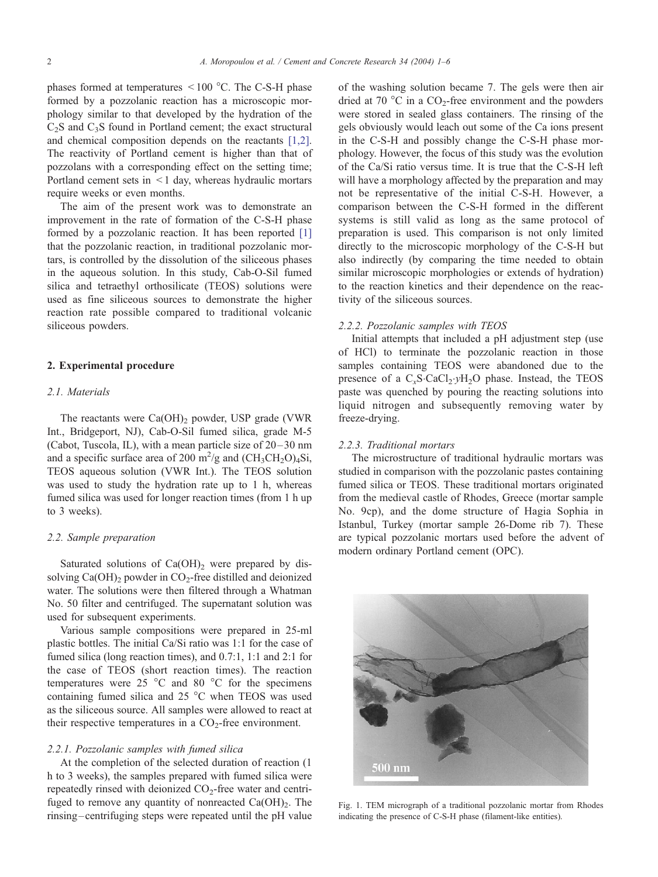<span id="page-1-0"></span>phases formed at temperatures  $\leq 100$  °C. The C-S-H phase formed by a pozzolanic reaction has a microscopic morphology similar to that developed by the hydration of the C2S and C3S found in Portland cement; the exact structural and chemical composition depends on the reactants [\[1,2\].](#page-5-0) The reactivity of Portland cement is higher than that of pozzolans with a corresponding effect on the setting time; Portland cement sets in < 1 day, whereas hydraulic mortars require weeks or even months.

The aim of the present work was to demonstrate an improvement in the rate of formation of the C-S-H phase formed by a pozzolanic reaction. It has been reported [\[1\]](#page-5-0) that the pozzolanic reaction, in traditional pozzolanic mortars, is controlled by the dissolution of the siliceous phases in the aqueous solution. In this study, Cab-O-Sil fumed silica and tetraethyl orthosilicate (TEOS) solutions were used as fine siliceous sources to demonstrate the higher reaction rate possible compared to traditional volcanic siliceous powders.

# 2. Experimental procedure

# 2.1. Materials

The reactants were  $Ca(OH)_2$  powder, USP grade (VWR Int., Bridgeport, NJ), Cab-O-Sil fumed silica, grade M-5 (Cabot, Tuscola, IL), with a mean particle size of  $20-30$  nm and a specific surface area of 200  $\text{m}^2/\text{g}$  and (CH<sub>3</sub>CH<sub>2</sub>O)<sub>4</sub>Si, TEOS aqueous solution (VWR Int.). The TEOS solution was used to study the hydration rate up to 1 h, whereas fumed silica was used for longer reaction times (from 1 h up to 3 weeks).

## 2.2. Sample preparation

Saturated solutions of  $Ca(OH)_2$  were prepared by dissolving  $Ca(OH)_2$  powder in  $CO_2$ -free distilled and deionized water. The solutions were then filtered through a Whatman No. 50 filter and centrifuged. The supernatant solution was used for subsequent experiments.

Various sample compositions were prepared in 25-ml plastic bottles. The initial Ca/Si ratio was 1:1 for the case of fumed silica (long reaction times), and 0.7:1, 1:1 and 2:1 for the case of TEOS (short reaction times). The reaction temperatures were  $25 \text{ °C}$  and  $80 \text{ °C}$  for the specimens containing fumed silica and  $25\text{ °C}$  when TEOS was used as the siliceous source. All samples were allowed to react at their respective temperatures in a  $CO<sub>2</sub>$ -free environment.

# 2.2.1. Pozzolanic samples with fumed silica

At the completion of the selected duration of reaction (1 h to 3 weeks), the samples prepared with fumed silica were repeatedly rinsed with deionized  $CO<sub>2</sub>$ -free water and centrifuged to remove any quantity of nonreacted  $Ca(OH)_2$ . The rinsing –centrifuging steps were repeated until the pH value of the washing solution became 7. The gels were then air dried at 70 °C in a  $CO_2$ -free environment and the powders were stored in sealed glass containers. The rinsing of the gels obviously would leach out some of the Ca ions present in the C-S-H and possibly change the C-S-H phase morphology. However, the focus of this study was the evolution of the Ca/Si ratio versus time. It is true that the C-S-H left will have a morphology affected by the preparation and may not be representative of the initial C-S-H. However, a comparison between the C-S-H formed in the different systems is still valid as long as the same protocol of preparation is used. This comparison is not only limited directly to the microscopic morphology of the C-S-H but also indirectly (by comparing the time needed to obtain similar microscopic morphologies or extends of hydration) to the reaction kinetics and their dependence on the reactivity of the siliceous sources.

#### 2.2.2. Pozzolanic samples with TEOS

Initial attempts that included a pH adjustment step (use of HCl) to terminate the pozzolanic reaction in those samples containing TEOS were abandoned due to the presence of a  $C_xS \text{-} CaCl_2 \cdot \nu H_2O$  phase. Instead, the TEOS paste was quenched by pouring the reacting solutions into liquid nitrogen and subsequently removing water by freeze-drying.

# 2.2.3. Traditional mortars

The microstructure of traditional hydraulic mortars was studied in comparison with the pozzolanic pastes containing fumed silica or TEOS. These traditional mortars originated from the medieval castle of Rhodes, Greece (mortar sample No. 9cp), and the dome structure of Hagia Sophia in Istanbul, Turkey (mortar sample 26-Dome rib 7). These are typical pozzolanic mortars used before the advent of modern ordinary Portland cement (OPC).



Fig. 1. TEM micrograph of a traditional pozzolanic mortar from Rhodes indicating the presence of C-S-H phase (filament-like entities).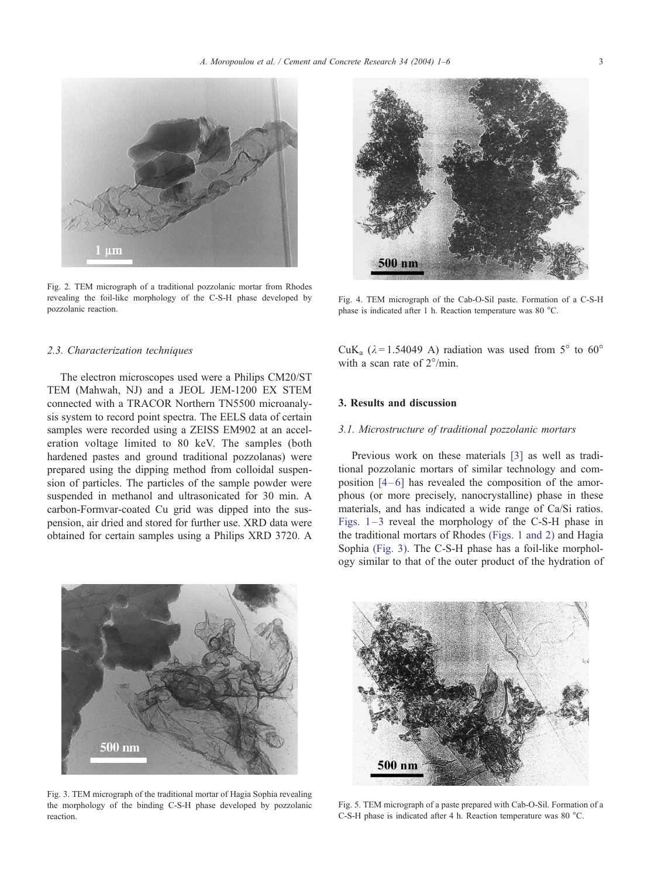<span id="page-2-0"></span>

Fig. 2. TEM micrograph of a traditional pozzolanic mortar from Rhodes revealing the foil-like morphology of the C-S-H phase developed by pozzolanic reaction.

#### 2.3. Characterization techniques

The electron microscopes used were a Philips CM20/ST TEM (Mahwah, NJ) and a JEOL JEM-1200 EX STEM connected with a TRACOR Northern TN5500 microanalysis system to record point spectra. The EELS data of certain samples were recorded using a ZEISS EM902 at an acceleration voltage limited to 80 keV. The samples (both hardened pastes and ground traditional pozzolanas) were prepared using the dipping method from colloidal suspension of particles. The particles of the sample powder were suspended in methanol and ultrasonicated for 30 min. A carbon-Formvar-coated Cu grid was dipped into the suspension, air dried and stored for further use. XRD data were obtained for certain samples using a Philips XRD 3720. A



Fig. 3. TEM micrograph of the traditional mortar of Hagia Sophia revealing the morphology of the binding C-S-H phase developed by pozzolanic reaction.

![](_page_2_Picture_7.jpeg)

Fig. 4. TEM micrograph of the Cab-O-Sil paste. Formation of a C-S-H phase is indicated after 1 h. Reaction temperature was 80 °C.

CuK<sub>a</sub> ( $\lambda$ =1.54049 A) radiation was used from 5° to 60° with a scan rate of  $2^{\circ}/\text{min}$ .

# 3. Results and discussion

#### 3.1. Microstructure of traditional pozzolanic mortars

Previous work on these materials [\[3\]](#page-5-0) as well as traditional pozzolanic mortars of similar technology and composition  $[4-6]$  has revealed the composition of the amorphous (or more precisely, nanocrystalline) phase in these materials, and has indicated a wide range of Ca/Si ratios. Figs.  $1-3$  reveal the morphology of the C-S-H phase in the traditional mortars of Rhodes [\(Figs. 1 and 2\)](#page-1-0) and Hagia Sophia (Fig. 3). The C-S-H phase has a foil-like morphology similar to that of the outer product of the hydration of

![](_page_2_Figure_13.jpeg)

Fig. 5. TEM micrograph of a paste prepared with Cab-O-Sil. Formation of a C-S-H phase is indicated after 4 h. Reaction temperature was 80 °C.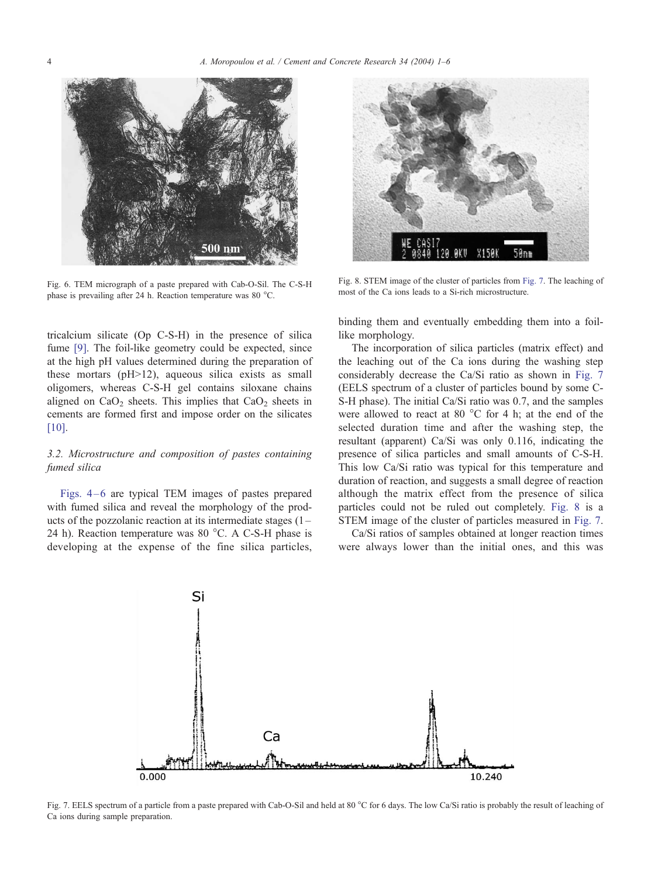![](_page_3_Picture_2.jpeg)

Fig. 6. TEM micrograph of a paste prepared with Cab-O-Sil. The C-S-H phase is prevailing after 24 h. Reaction temperature was 80 °C.

tricalcium silicate (Op C-S-H) in the presence of silica fume [\[9\]](#page-5-0). The foil-like geometry could be expected, since at the high pH values determined during the preparation of these mortars (pH>12), aqueous silica exists as small oligomers, whereas C-S-H gel contains siloxane chains aligned on  $CaO<sub>2</sub>$  sheets. This implies that  $CaO<sub>2</sub>$  sheets in cements are formed first and impose order on the silicates [\[10\].](#page-5-0)

# 3.2. Microstructure and composition of pastes containing fumed silica

Figs. 4–6 are typical TEM images of pastes prepared with fumed silica and reveal the morphology of the products of the pozzolanic reaction at its intermediate stages  $(1 -$ 24 h). Reaction temperature was 80  $^{\circ}$ C. A C-S-H phase is developing at the expense of the fine silica particles,

![](_page_3_Picture_7.jpeg)

Fig. 8. STEM image of the cluster of particles from Fig. 7. The leaching of most of the Ca ions leads to a Si-rich microstructure.

binding them and eventually embedding them into a foillike morphology.

The incorporation of silica particles (matrix effect) and the leaching out of the Ca ions during the washing step considerably decrease the Ca/Si ratio as shown in Fig. 7 (EELS spectrum of a cluster of particles bound by some C-S-H phase). The initial Ca/Si ratio was 0.7, and the samples were allowed to react at 80  $^{\circ}$ C for 4 h; at the end of the selected duration time and after the washing step, the resultant (apparent) Ca/Si was only 0.116, indicating the presence of silica particles and small amounts of C-S-H. This low Ca/Si ratio was typical for this temperature and duration of reaction, and suggests a small degree of reaction although the matrix effect from the presence of silica particles could not be ruled out completely. Fig. 8 is a STEM image of the cluster of particles measured in Fig. 7.

Ca/Si ratios of samples obtained at longer reaction times were always lower than the initial ones, and this was

![](_page_3_Figure_12.jpeg)

Fig. 7. EELS spectrum of a particle from a paste prepared with Cab-O-Sil and held at 80 °C for 6 days. The low Ca/Si ratio is probably the result of leaching of Ca ions during sample preparation.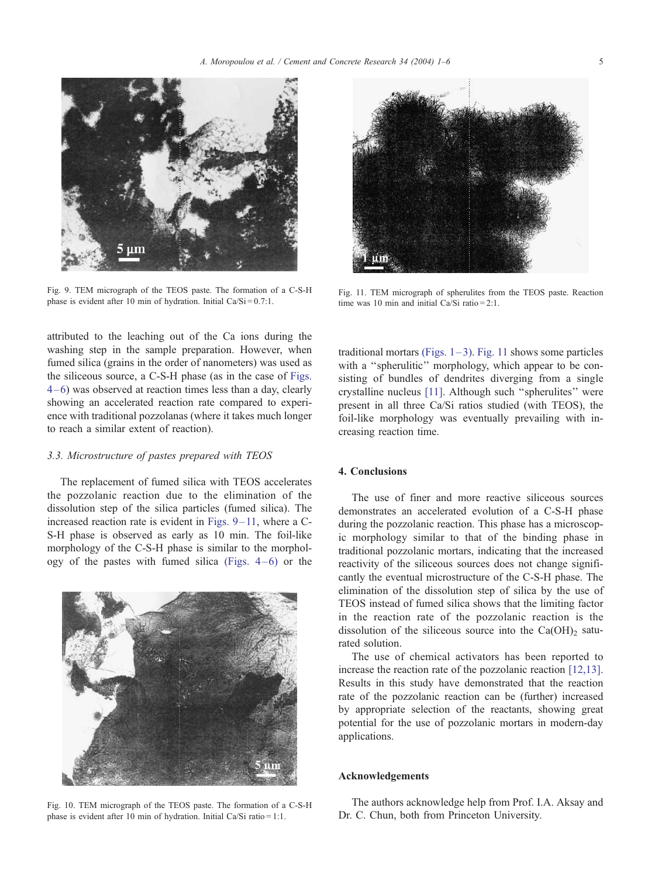![](_page_4_Picture_2.jpeg)

Fig. 9. TEM micrograph of the TEOS paste. The formation of a C-S-H phase is evident after 10 min of hydration. Initial  $Ca/Si = 0.7:1$ .

![](_page_4_Picture_4.jpeg)

Fig. 11. TEM micrograph of spherulites from the TEOS paste. Reaction time was 10 min and initial Ca/Si ratio = 2:1.

attributed to the leaching out of the Ca ions during the washing step in the sample preparation. However, when fumed silica (grains in the order of nanometers) was used as the siliceous source, a C-S-H phase (as in the case of [Figs.](#page-2-0) 4–6) was observed at reaction times less than a day, clearly showing an accelerated reaction rate compared to experience with traditional pozzolanas (where it takes much longer to reach a similar extent of reaction).

# 3.3. Microstructure of pastes prepared with TEOS

The replacement of fumed silica with TEOS accelerates the pozzolanic reaction due to the elimination of the dissolution step of the silica particles (fumed silica). The increased reaction rate is evident in Figs.  $9-11$ , where a C-S-H phase is observed as early as 10 min. The foil-like morphology of the C-S-H phase is similar to the morphology of the pastes with fumed silica (Figs.  $4-6$ ) or the

![](_page_4_Picture_9.jpeg)

Fig. 10. TEM micrograph of the TEOS paste. The formation of a C-S-H phase is evident after 10 min of hydration. Initial Ca/Si ratio = 1:1.

traditional mortars (Figs.  $1-3$ ). Fig. 11 shows some particles with a "spherulitic" morphology, which appear to be consisting of bundles of dendrites diverging from a single crystalline nucleus [\[11\].](#page-5-0) Although such ''spherulites'' were present in all three Ca/Si ratios studied (with TEOS), the foil-like morphology was eventually prevailing with increasing reaction time.

# 4. Conclusions

The use of finer and more reactive siliceous sources demonstrates an accelerated evolution of a C-S-H phase during the pozzolanic reaction. This phase has a microscopic morphology similar to that of the binding phase in traditional pozzolanic mortars, indicating that the increased reactivity of the siliceous sources does not change significantly the eventual microstructure of the C-S-H phase. The elimination of the dissolution step of silica by the use of TEOS instead of fumed silica shows that the limiting factor in the reaction rate of the pozzolanic reaction is the dissolution of the siliceous source into the  $Ca(OH)_2$  saturated solution.

The use of chemical activators has been reported to increase the reaction rate of the pozzolanic reaction [\[12,13\].](#page-5-0) Results in this study have demonstrated that the reaction rate of the pozzolanic reaction can be (further) increased by appropriate selection of the reactants, showing great potential for the use of pozzolanic mortars in modern-day applications.

## Acknowledgements

The authors acknowledge help from Prof. I.A. Aksay and Dr. C. Chun, both from Princeton University.